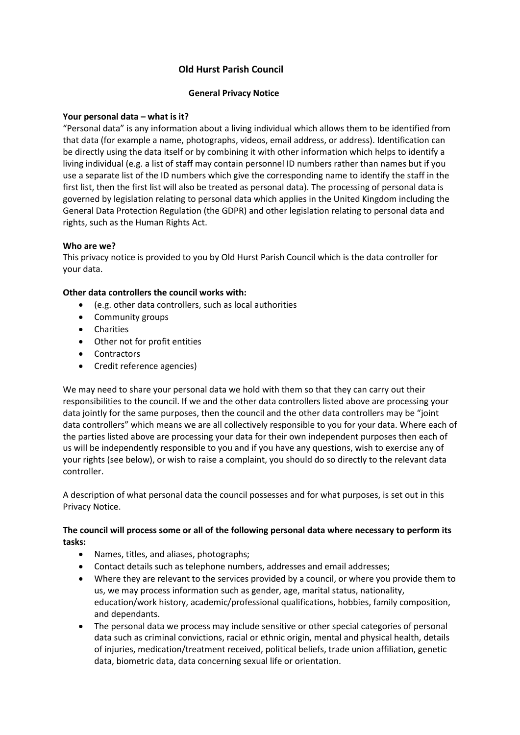# **Old Hurst Parish Council**

### **General Privacy Notice**

### **Your personal data – what is it?**

"Personal data" is any information about a living individual which allows them to be identified from that data (for example a name, photographs, videos, email address, or address). Identification can be directly using the data itself or by combining it with other information which helps to identify a living individual (e.g. a list of staff may contain personnel ID numbers rather than names but if you use a separate list of the ID numbers which give the corresponding name to identify the staff in the first list, then the first list will also be treated as personal data). The processing of personal data is governed by legislation relating to personal data which applies in the United Kingdom including the General Data Protection Regulation (the GDPR) and other legislation relating to personal data and rights, such as the Human Rights Act.

# **Who are we?**

This privacy notice is provided to you by Old Hurst Parish Council which is the data controller for your data.

# **Other data controllers the council works with:**

- (e.g. other data controllers, such as local authorities
- Community groups
- Charities
- Other not for profit entities
- Contractors
- Credit reference agencies)

We may need to share your personal data we hold with them so that they can carry out their responsibilities to the council. If we and the other data controllers listed above are processing your data jointly for the same purposes, then the council and the other data controllers may be "joint data controllers" which means we are all collectively responsible to you for your data. Where each of the parties listed above are processing your data for their own independent purposes then each of us will be independently responsible to you and if you have any questions, wish to exercise any of your rights (see below), or wish to raise a complaint, you should do so directly to the relevant data controller.

A description of what personal data the council possesses and for what purposes, is set out in this Privacy Notice.

# **The council will process some or all of the following personal data where necessary to perform its tasks:**

- Names, titles, and aliases, photographs;
- Contact details such as telephone numbers, addresses and email addresses;
- Where they are relevant to the services provided by a council, or where you provide them to us, we may process information such as gender, age, marital status, nationality, education/work history, academic/professional qualifications, hobbies, family composition, and dependants.
- The personal data we process may include sensitive or other special categories of personal data such as criminal convictions, racial or ethnic origin, mental and physical health, details of injuries, medication/treatment received, political beliefs, trade union affiliation, genetic data, biometric data, data concerning sexual life or orientation.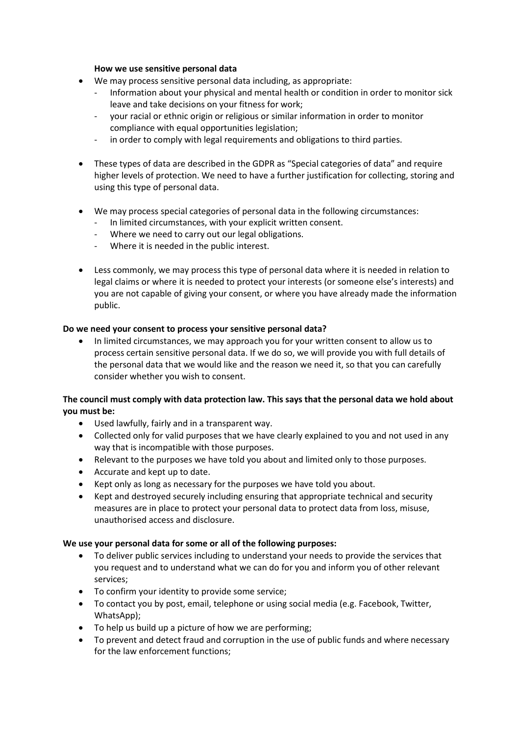#### **How we use sensitive personal data**

- We may process sensitive personal data including, as appropriate:
	- Information about your physical and mental health or condition in order to monitor sick leave and take decisions on your fitness for work;
	- your racial or ethnic origin or religious or similar information in order to monitor compliance with equal opportunities legislation;
	- in order to comply with legal requirements and obligations to third parties.
- These types of data are described in the GDPR as "Special categories of data" and require higher levels of protection. We need to have a further justification for collecting, storing and using this type of personal data.
- We may process special categories of personal data in the following circumstances:
	- In limited circumstances, with your explicit written consent.
	- Where we need to carry out our legal obligations.
	- Where it is needed in the public interest.
- Less commonly, we may process this type of personal data where it is needed in relation to legal claims or where it is needed to protect your interests (or someone else's interests) and you are not capable of giving your consent, or where you have already made the information public.

### **Do we need your consent to process your sensitive personal data?**

• In limited circumstances, we may approach you for your written consent to allow us to process certain sensitive personal data. If we do so, we will provide you with full details of the personal data that we would like and the reason we need it, so that you can carefully consider whether you wish to consent.

# **The council must comply with data protection law. This says that the personal data we hold about you must be:**

- Used lawfully, fairly and in a transparent way.
- Collected only for valid purposes that we have clearly explained to you and not used in any way that is incompatible with those purposes.
- Relevant to the purposes we have told you about and limited only to those purposes.
- Accurate and kept up to date.
- Kept only as long as necessary for the purposes we have told you about.
- Kept and destroyed securely including ensuring that appropriate technical and security measures are in place to protect your personal data to protect data from loss, misuse, unauthorised access and disclosure.

### **We use your personal data for some or all of the following purposes:**

- To deliver public services including to understand your needs to provide the services that you request and to understand what we can do for you and inform you of other relevant services;
- To confirm your identity to provide some service;
- To contact you by post, email, telephone or using social media (e.g. Facebook, Twitter, WhatsApp);
- To help us build up a picture of how we are performing;
- To prevent and detect fraud and corruption in the use of public funds and where necessary for the law enforcement functions;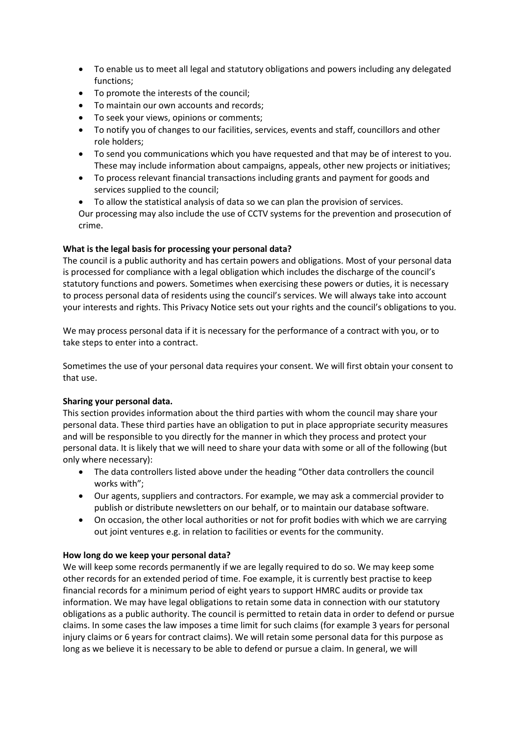- To enable us to meet all legal and statutory obligations and powers including any delegated functions;
- To promote the interests of the council;
- To maintain our own accounts and records;
- To seek your views, opinions or comments;
- To notify you of changes to our facilities, services, events and staff, councillors and other role holders;
- To send you communications which you have requested and that may be of interest to you. These may include information about campaigns, appeals, other new projects or initiatives;
- To process relevant financial transactions including grants and payment for goods and services supplied to the council;
- To allow the statistical analysis of data so we can plan the provision of services. Our processing may also include the use of CCTV systems for the prevention and prosecution of crime.

# **What is the legal basis for processing your personal data?**

The council is a public authority and has certain powers and obligations. Most of your personal data is processed for compliance with a legal obligation which includes the discharge of the council's statutory functions and powers. Sometimes when exercising these powers or duties, it is necessary to process personal data of residents using the council's services. We will always take into account your interests and rights. This Privacy Notice sets out your rights and the council's obligations to you.

We may process personal data if it is necessary for the performance of a contract with you, or to take steps to enter into a contract.

Sometimes the use of your personal data requires your consent. We will first obtain your consent to that use.

### **Sharing your personal data.**

This section provides information about the third parties with whom the council may share your personal data. These third parties have an obligation to put in place appropriate security measures and will be responsible to you directly for the manner in which they process and protect your personal data. It is likely that we will need to share your data with some or all of the following (but only where necessary):

- The data controllers listed above under the heading "Other data controllers the council works with";
- Our agents, suppliers and contractors. For example, we may ask a commercial provider to publish or distribute newsletters on our behalf, or to maintain our database software.
- On occasion, the other local authorities or not for profit bodies with which we are carrying out joint ventures e.g. in relation to facilities or events for the community.

### **How long do we keep your personal data?**

We will keep some records permanently if we are legally required to do so. We may keep some other records for an extended period of time. Foe example, it is currently best practise to keep financial records for a minimum period of eight years to support HMRC audits or provide tax information. We may have legal obligations to retain some data in connection with our statutory obligations as a public authority. The council is permitted to retain data in order to defend or pursue claims. In some cases the law imposes a time limit for such claims (for example 3 years for personal injury claims or 6 years for contract claims). We will retain some personal data for this purpose as long as we believe it is necessary to be able to defend or pursue a claim. In general, we will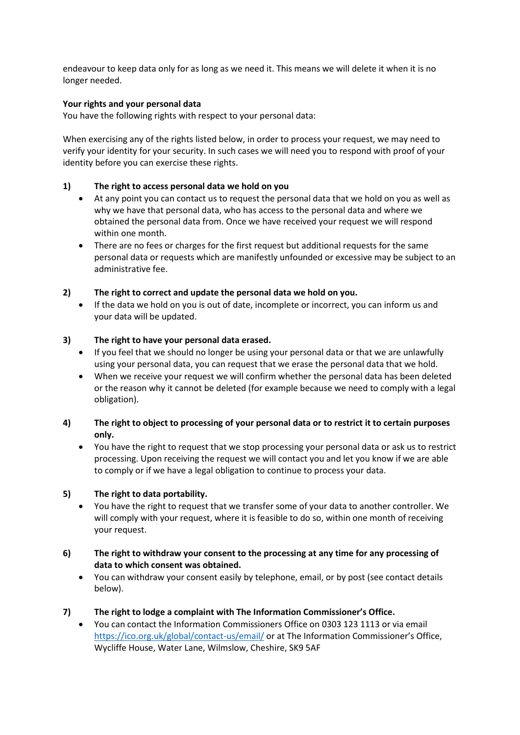endeavour to keep data only for as long as we need it. This means we will delete it when it is no longer needed.

# **Your rights and your personal data**

You have the following rights with respect to your personal data:

When exercising any of the rights listed below, in order to process your request, we may need to verify your identity for your security. In such cases we will need you to respond with proof of your identity before you can exercise these rights.

# **1) The right to access personal data we hold on you**

- At any point you can contact us to request the personal data that we hold on you as well as why we have that personal data, who has access to the personal data and where we obtained the personal data from. Once we have received your request we will respond within one month.
- There are no fees or charges for the first request but additional requests for the same personal data or requests which are manifestly unfounded or excessive may be subject to an administrative fee.

# **2) The right to correct and update the personal data we hold on you.**

• If the data we hold on you is out of date, incomplete or incorrect, you can inform us and your data will be updated.

# **3) The right to have your personal data erased.**

- If you feel that we should no longer be using your personal data or that we are unlawfully using your personal data, you can request that we erase the personal data that we hold.
- When we receive your request we will confirm whether the personal data has been deleted or the reason why it cannot be deleted (for example because we need to comply with a legal obligation).

# **4) The right to object to processing of your personal data or to restrict it to certain purposes only.**

• You have the right to request that we stop processing your personal data or ask us to restrict processing. Upon receiving the request we will contact you and let you know if we are able to comply or if we have a legal obligation to continue to process your data.

# **5) The right to data portability.**

- You have the right to request that we transfer some of your data to another controller. We will comply with your request, where it is feasible to do so, within one month of receiving your request.
- **6) The right to withdraw your consent to the processing at any time for any processing of data to which consent was obtained.**
	- You can withdraw your consent easily by telephone, email, or by post (see contact details below).

### **7) The right to lodge a complaint with The Information Commissioner's Office.**

• You can contact the Information Commissioners Office on 0303 123 1113 or via email <https://ico.org.uk/global/contact-us/email/> or at The Information Commissioner's Office, Wycliffe House, Water Lane, Wilmslow, Cheshire, SK9 5AF